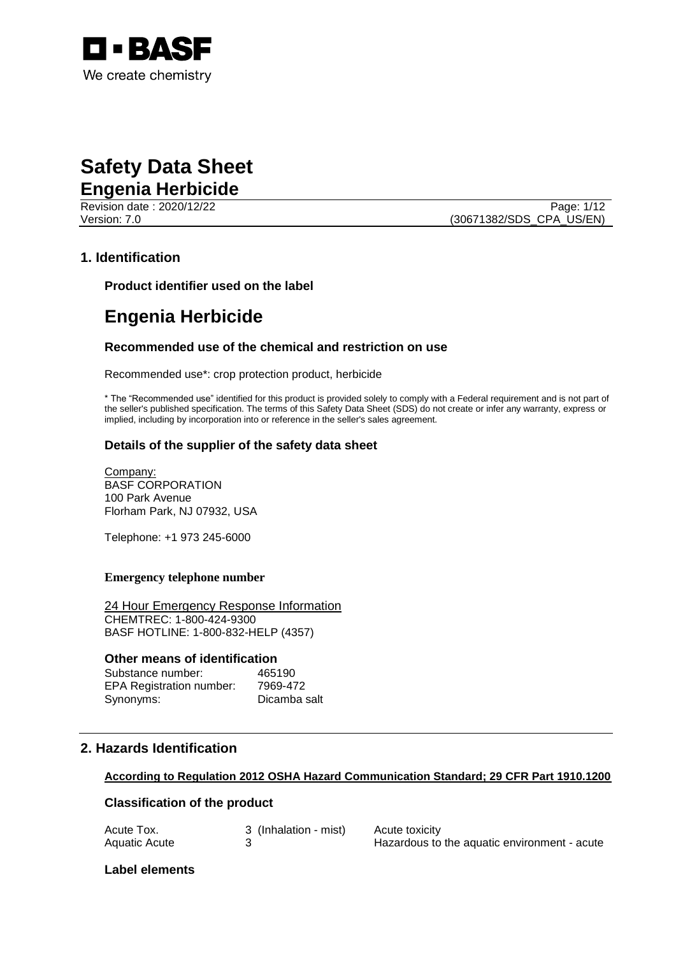

### **Safety Data Sheet Engenia Herbicide**

**Revision date : 2020/12/22** Page: 1/12 Version: 7.0 (30671382/SDS\_CPA\_US/EN)

#### **1. Identification**

**Product identifier used on the label**

### **Engenia Herbicide**

#### **Recommended use of the chemical and restriction on use**

Recommended use\*: crop protection product, herbicide

\* The "Recommended use" identified for this product is provided solely to comply with a Federal requirement and is not part of the seller's published specification. The terms of this Safety Data Sheet (SDS) do not create or infer any warranty, express or implied, including by incorporation into or reference in the seller's sales agreement.

#### **Details of the supplier of the safety data sheet**

Company: BASF CORPORATION 100 Park Avenue Florham Park, NJ 07932, USA

Telephone: +1 973 245-6000

#### **Emergency telephone number**

24 Hour Emergency Response Information CHEMTREC: 1-800-424-9300 BASF HOTLINE: 1-800-832-HELP (4357)

#### **Other means of identification**

| Substance number:               | 465190       |
|---------------------------------|--------------|
| <b>EPA Registration number:</b> | 7969-472     |
| Synonyms:                       | Dicamba salt |

#### **2. Hazards Identification**

#### **According to Regulation 2012 OSHA Hazard Communication Standard; 29 CFR Part 1910.1200**

#### **Classification of the product**

| Acute Tox.    | 3 (Inhalation - mist) | Acute toxicity                               |
|---------------|-----------------------|----------------------------------------------|
| Aquatic Acute |                       | Hazardous to the aquatic environment - acute |

#### **Label elements**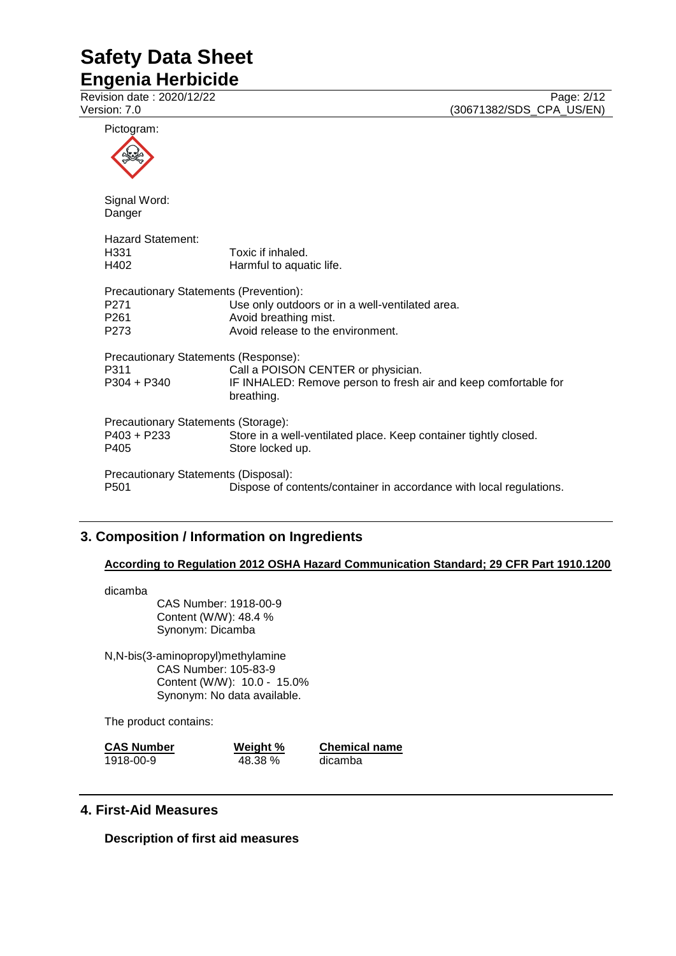**Engenia Herbicide**

Revision date : 2020/12/22 Page: 2/12<br>
Version: 7.0 (30671382/SDS\_CPA\_US/EN) (30671382/SDS\_CPA\_US/EN)

| Pictogram:                                                                             |                                                                                                                     |
|----------------------------------------------------------------------------------------|---------------------------------------------------------------------------------------------------------------------|
|                                                                                        |                                                                                                                     |
| Signal Word:<br>Danger                                                                 |                                                                                                                     |
| <b>Hazard Statement:</b><br>H331<br>H402                                               | Toxic if inhaled.<br>Harmful to aquatic life.                                                                       |
| Precautionary Statements (Prevention):<br>P <sub>271</sub><br>P <sub>261</sub><br>P273 | Use only outdoors or in a well-ventilated area.<br>Avoid breathing mist.<br>Avoid release to the environment.       |
| Precautionary Statements (Response):<br>P311<br>$P304 + P340$                          | Call a POISON CENTER or physician.<br>IF INHALED: Remove person to fresh air and keep comfortable for<br>breathing. |
| Precautionary Statements (Storage):<br>P403 + P233<br>P405                             | Store in a well-ventilated place. Keep container tightly closed.<br>Store locked up.                                |
| Precautionary Statements (Disposal):<br>P501                                           | Dispose of contents/container in accordance with local regulations.                                                 |

#### **3. Composition / Information on Ingredients**

#### **According to Regulation 2012 OSHA Hazard Communication Standard; 29 CFR Part 1910.1200**

dicamba

CAS Number: 1918-00-9 Content (W/W): 48.4 % Synonym: Dicamba

N,N-bis(3-aminopropyl)methylamine CAS Number: 105-83-9 Content (W/W): 10.0 - 15.0% Synonym: No data available.

The product contains:

| <b>CAS Number</b> | Weight % | <b>Chemical name</b> |  |
|-------------------|----------|----------------------|--|
| 1918-00-9         | 48.38 %  | dicamba              |  |

#### **4. First-Aid Measures**

**Description of first aid measures**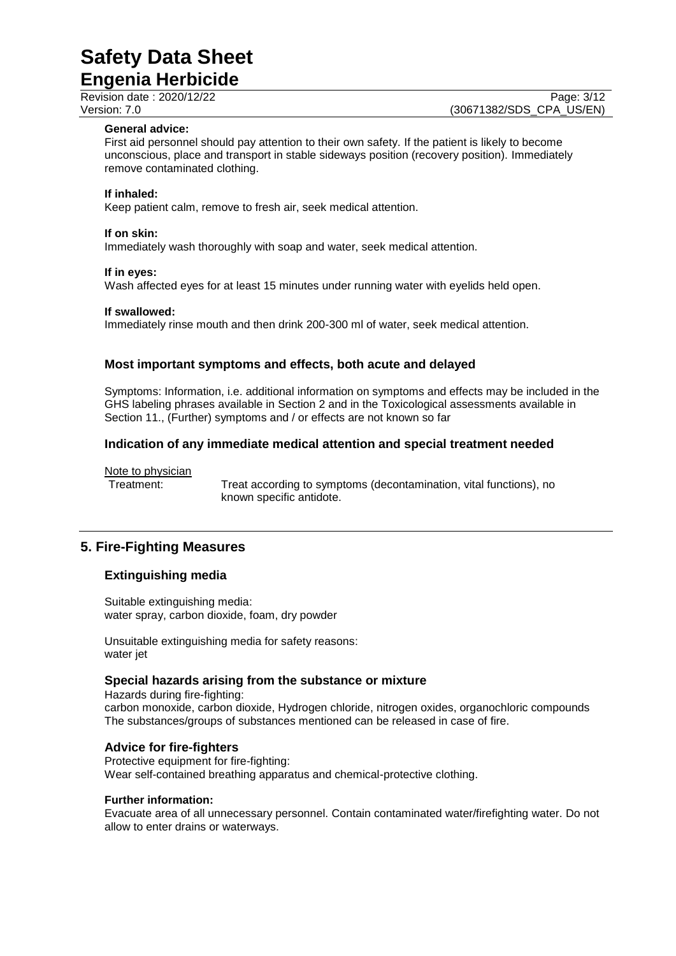**Engenia Herbicide**

Revision date : 2020/12/22 Page: 3/12<br>
Version: 7.0 (30671382/SDS CPA US/EN) (30671382/SDS\_CPA\_US/EN)

#### **General advice:**

First aid personnel should pay attention to their own safety. If the patient is likely to become unconscious, place and transport in stable sideways position (recovery position). Immediately remove contaminated clothing.

#### **If inhaled:**

Keep patient calm, remove to fresh air, seek medical attention.

#### **If on skin:**

Immediately wash thoroughly with soap and water, seek medical attention.

#### **If in eyes:**

Wash affected eyes for at least 15 minutes under running water with eyelids held open.

#### **If swallowed:**

Immediately rinse mouth and then drink 200-300 ml of water, seek medical attention.

#### **Most important symptoms and effects, both acute and delayed**

Symptoms: Information, i.e. additional information on symptoms and effects may be included in the GHS labeling phrases available in Section 2 and in the Toxicological assessments available in Section 11., (Further) symptoms and / or effects are not known so far

#### **Indication of any immediate medical attention and special treatment needed**

Note to physician

Treatment: Treat according to symptoms (decontamination, vital functions), no known specific antidote.

#### **5. Fire-Fighting Measures**

#### **Extinguishing media**

Suitable extinguishing media: water spray, carbon dioxide, foam, dry powder

Unsuitable extinguishing media for safety reasons: water jet

#### **Special hazards arising from the substance or mixture**

Hazards during fire-fighting: carbon monoxide, carbon dioxide, Hydrogen chloride, nitrogen oxides, organochloric compounds The substances/groups of substances mentioned can be released in case of fire.

#### **Advice for fire-fighters**

Protective equipment for fire-fighting: Wear self-contained breathing apparatus and chemical-protective clothing.

#### **Further information:**

Evacuate area of all unnecessary personnel. Contain contaminated water/firefighting water. Do not allow to enter drains or waterways.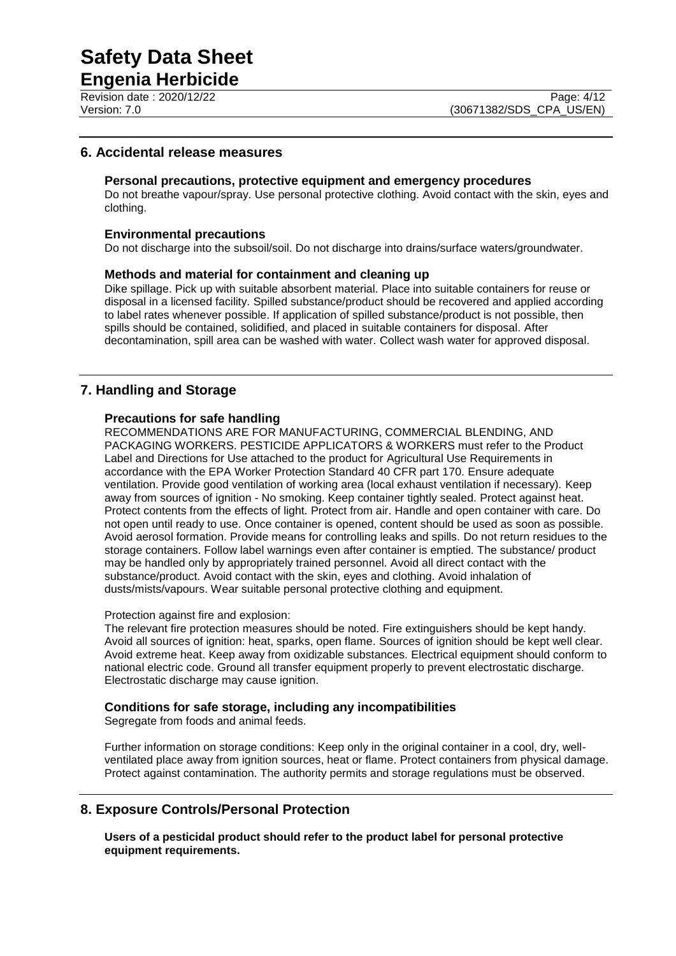**Engenia Herbicide** Revision date : 2020/12/22 Page: 4/12<br>
Version: 7.0 (30671382/SDS CPA US/EN)

#### **6. Accidental release measures**

#### **Personal precautions, protective equipment and emergency procedures**

Do not breathe vapour/spray. Use personal protective clothing. Avoid contact with the skin, eyes and clothing.

#### **Environmental precautions**

Do not discharge into the subsoil/soil. Do not discharge into drains/surface waters/groundwater.

#### **Methods and material for containment and cleaning up**

Dike spillage. Pick up with suitable absorbent material. Place into suitable containers for reuse or disposal in a licensed facility. Spilled substance/product should be recovered and applied according to label rates whenever possible. If application of spilled substance/product is not possible, then spills should be contained, solidified, and placed in suitable containers for disposal. After decontamination, spill area can be washed with water. Collect wash water for approved disposal.

#### **7. Handling and Storage**

#### **Precautions for safe handling**

RECOMMENDATIONS ARE FOR MANUFACTURING, COMMERCIAL BLENDING, AND PACKAGING WORKERS. PESTICIDE APPLICATORS & WORKERS must refer to the Product Label and Directions for Use attached to the product for Agricultural Use Requirements in accordance with the EPA Worker Protection Standard 40 CFR part 170. Ensure adequate ventilation. Provide good ventilation of working area (local exhaust ventilation if necessary). Keep away from sources of ignition - No smoking. Keep container tightly sealed. Protect against heat. Protect contents from the effects of light. Protect from air. Handle and open container with care. Do not open until ready to use. Once container is opened, content should be used as soon as possible. Avoid aerosol formation. Provide means for controlling leaks and spills. Do not return residues to the storage containers. Follow label warnings even after container is emptied. The substance/ product may be handled only by appropriately trained personnel. Avoid all direct contact with the substance/product. Avoid contact with the skin, eyes and clothing. Avoid inhalation of dusts/mists/vapours. Wear suitable personal protective clothing and equipment.

#### Protection against fire and explosion:

The relevant fire protection measures should be noted. Fire extinguishers should be kept handy. Avoid all sources of ignition: heat, sparks, open flame. Sources of ignition should be kept well clear. Avoid extreme heat. Keep away from oxidizable substances. Electrical equipment should conform to national electric code. Ground all transfer equipment properly to prevent electrostatic discharge. Electrostatic discharge may cause ignition.

#### **Conditions for safe storage, including any incompatibilities**

Segregate from foods and animal feeds.

Further information on storage conditions: Keep only in the original container in a cool, dry, wellventilated place away from ignition sources, heat or flame. Protect containers from physical damage. Protect against contamination. The authority permits and storage regulations must be observed.

#### **8. Exposure Controls/Personal Protection**

**Users of a pesticidal product should refer to the product label for personal protective equipment requirements.**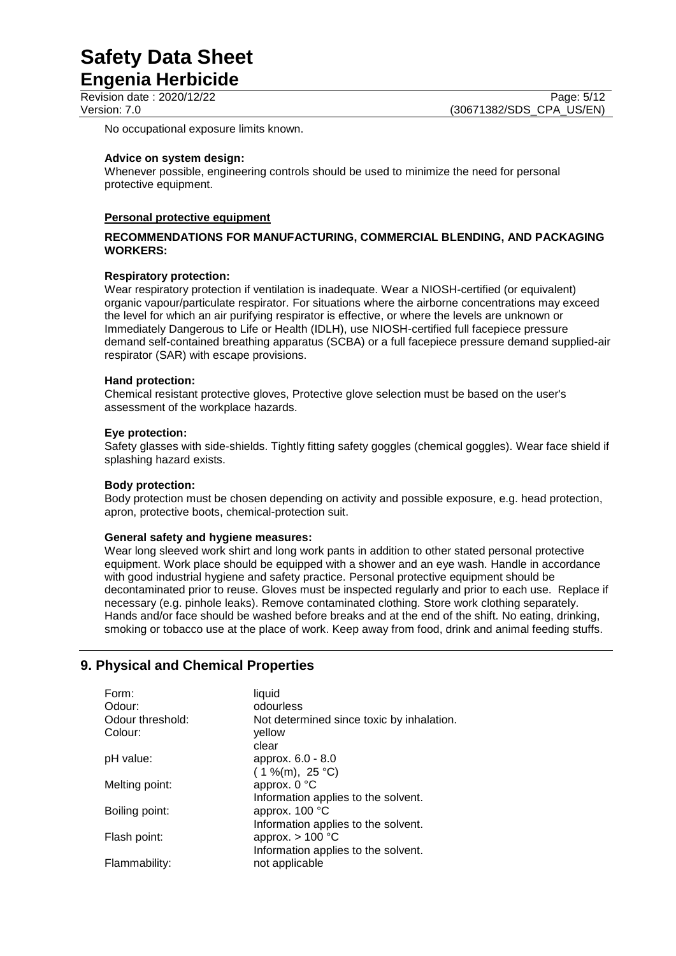**Engenia Herbicide**

No occupational exposure limits known.

#### **Advice on system design:**

Whenever possible, engineering controls should be used to minimize the need for personal protective equipment.

#### **Personal protective equipment**

#### **RECOMMENDATIONS FOR MANUFACTURING, COMMERCIAL BLENDING, AND PACKAGING WORKERS:**

#### **Respiratory protection:**

Wear respiratory protection if ventilation is inadequate. Wear a NIOSH-certified (or equivalent) organic vapour/particulate respirator. For situations where the airborne concentrations may exceed the level for which an air purifying respirator is effective, or where the levels are unknown or Immediately Dangerous to Life or Health (IDLH), use NIOSH-certified full facepiece pressure demand self-contained breathing apparatus (SCBA) or a full facepiece pressure demand supplied-air respirator (SAR) with escape provisions.

#### **Hand protection:**

Chemical resistant protective gloves, Protective glove selection must be based on the user's assessment of the workplace hazards.

#### **Eye protection:**

Safety glasses with side-shields. Tightly fitting safety goggles (chemical goggles). Wear face shield if splashing hazard exists.

#### **Body protection:**

Body protection must be chosen depending on activity and possible exposure, e.g. head protection, apron, protective boots, chemical-protection suit.

#### **General safety and hygiene measures:**

Wear long sleeved work shirt and long work pants in addition to other stated personal protective equipment. Work place should be equipped with a shower and an eye wash. Handle in accordance with good industrial hygiene and safety practice. Personal protective equipment should be decontaminated prior to reuse. Gloves must be inspected regularly and prior to each use. Replace if necessary (e.g. pinhole leaks). Remove contaminated clothing. Store work clothing separately. Hands and/or face should be washed before breaks and at the end of the shift. No eating, drinking, smoking or tobacco use at the place of work. Keep away from food, drink and animal feeding stuffs.

#### **9. Physical and Chemical Properties**

| Form:<br>Odour:             | liquid<br>odourless                                       |
|-----------------------------|-----------------------------------------------------------|
| Odour threshold:<br>Colour: | Not determined since toxic by inhalation.<br>vellow       |
| pH value:                   | clear<br>approx. 6.0 - 8.0                                |
| Melting point:              | $(1\%$ (m), 25 °C)<br>approx. 0 °C                        |
|                             | Information applies to the solvent.                       |
| Boiling point:              | approx. 100 °C<br>Information applies to the solvent.     |
| Flash point:                | approx. $> 100$ °C<br>Information applies to the solvent. |
| Flammability:               | not applicable                                            |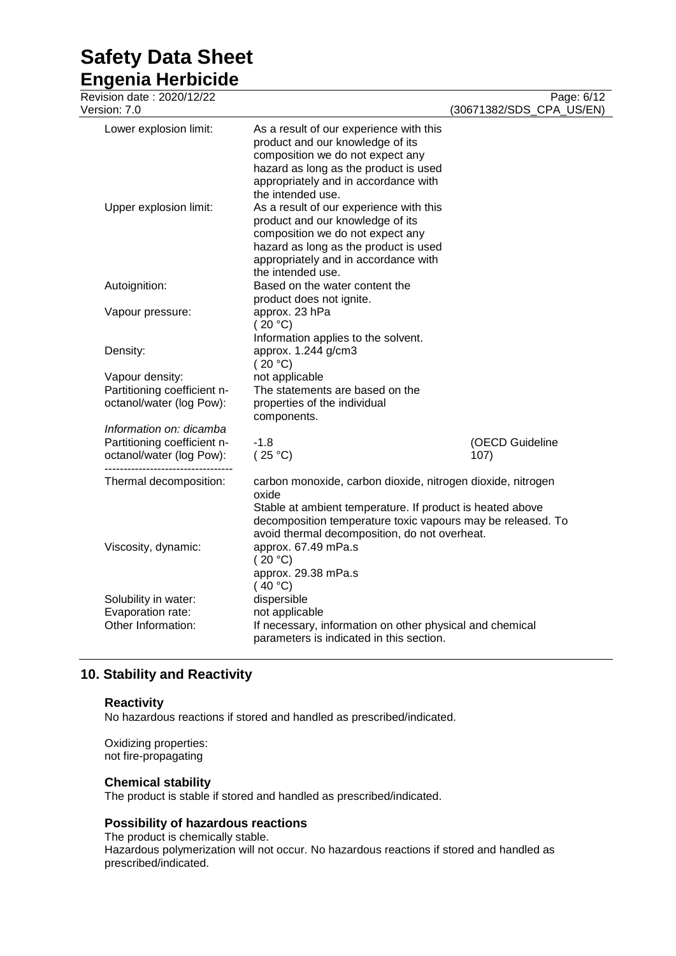**Engenia Herbicide**

| Revision date: 2020/12/22<br>Version: 7.0                                                                         |                                                                                                                                                                                                                                                   | Page: 6/12<br>(30671382/SDS_CPA_US/EN) |
|-------------------------------------------------------------------------------------------------------------------|---------------------------------------------------------------------------------------------------------------------------------------------------------------------------------------------------------------------------------------------------|----------------------------------------|
| Lower explosion limit:                                                                                            | As a result of our experience with this<br>product and our knowledge of its<br>composition we do not expect any<br>hazard as long as the product is used<br>appropriately and in accordance with<br>the intended use.                             |                                        |
| Upper explosion limit:                                                                                            | As a result of our experience with this<br>product and our knowledge of its<br>composition we do not expect any<br>hazard as long as the product is used<br>appropriately and in accordance with<br>the intended use.                             |                                        |
| Autoignition:                                                                                                     | Based on the water content the<br>product does not ignite.                                                                                                                                                                                        |                                        |
| Vapour pressure:                                                                                                  | approx. 23 hPa<br>(20 °C)<br>Information applies to the solvent.                                                                                                                                                                                  |                                        |
| Density:                                                                                                          | approx. 1.244 g/cm3<br>(20 °C)                                                                                                                                                                                                                    |                                        |
| Vapour density:<br>Partitioning coefficient n-<br>octanol/water (log Pow):                                        | not applicable<br>The statements are based on the<br>properties of the individual<br>components.                                                                                                                                                  |                                        |
| Information on: dicamba<br>Partitioning coefficient n-<br>octanol/water (log Pow):<br>--------------------------- | $-1.8$<br>(25 °C)                                                                                                                                                                                                                                 | (OECD Guideline<br>107)                |
| Thermal decomposition:                                                                                            | carbon monoxide, carbon dioxide, nitrogen dioxide, nitrogen<br>oxide<br>Stable at ambient temperature. If product is heated above<br>decomposition temperature toxic vapours may be released. To<br>avoid thermal decomposition, do not overheat. |                                        |
| Viscosity, dynamic:                                                                                               | approx. 67.49 mPa.s<br>(20 °C)<br>approx. 29.38 mPa.s<br>(40 °C)                                                                                                                                                                                  |                                        |
| Solubility in water:<br>Evaporation rate:<br>Other Information:                                                   | dispersible<br>not applicable<br>If necessary, information on other physical and chemical<br>parameters is indicated in this section.                                                                                                             |                                        |

#### **10. Stability and Reactivity**

#### **Reactivity**

No hazardous reactions if stored and handled as prescribed/indicated.

Oxidizing properties: not fire-propagating

#### **Chemical stability**

The product is stable if stored and handled as prescribed/indicated.

#### **Possibility of hazardous reactions**

The product is chemically stable. Hazardous polymerization will not occur. No hazardous reactions if stored and handled as prescribed/indicated.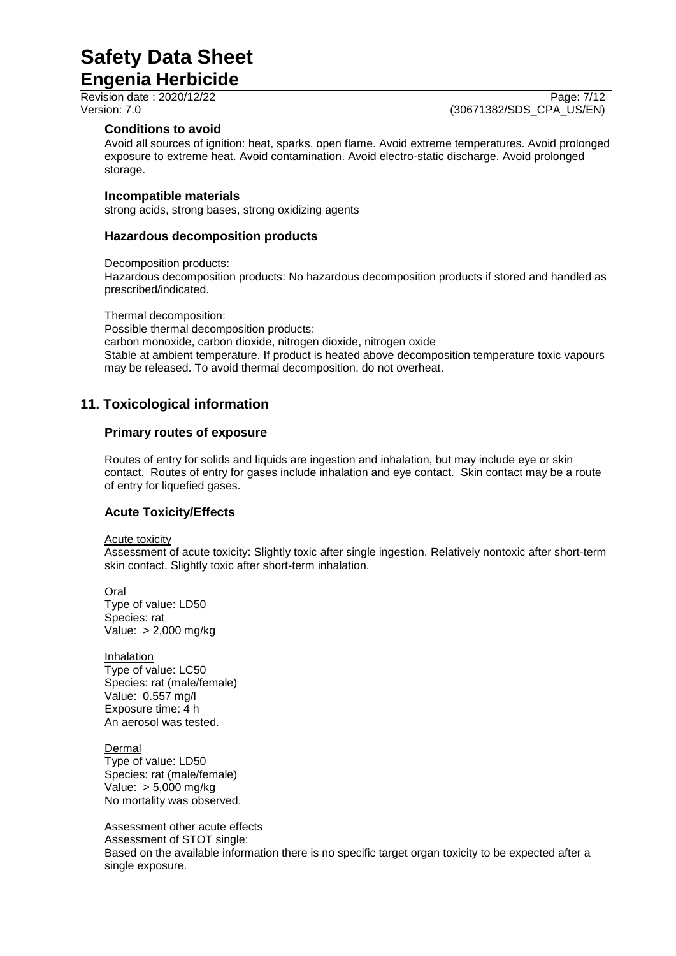**Engenia Herbicide**

Revision date : 2020/12/22 Page: 7/12<br>
Version: 7.0 (30671382/SDS CPA US/EN) (30671382/SDS\_CPA\_US/EN)

#### **Conditions to avoid**

Avoid all sources of ignition: heat, sparks, open flame. Avoid extreme temperatures. Avoid prolonged exposure to extreme heat. Avoid contamination. Avoid electro-static discharge. Avoid prolonged storage.

#### **Incompatible materials**

strong acids, strong bases, strong oxidizing agents

#### **Hazardous decomposition products**

Decomposition products:

Hazardous decomposition products: No hazardous decomposition products if stored and handled as prescribed/indicated.

Thermal decomposition: Possible thermal decomposition products: carbon monoxide, carbon dioxide, nitrogen dioxide, nitrogen oxide Stable at ambient temperature. If product is heated above decomposition temperature toxic vapours may be released. To avoid thermal decomposition, do not overheat.

#### **11. Toxicological information**

#### **Primary routes of exposure**

Routes of entry for solids and liquids are ingestion and inhalation, but may include eye or skin contact. Routes of entry for gases include inhalation and eye contact. Skin contact may be a route of entry for liquefied gases.

#### **Acute Toxicity/Effects**

Acute toxicity

Assessment of acute toxicity: Slightly toxic after single ingestion. Relatively nontoxic after short-term skin contact. Slightly toxic after short-term inhalation.

Oral Type of value: LD50 Species: rat Value: > 2,000 mg/kg

Inhalation Type of value: LC50 Species: rat (male/female) Value: 0.557 mg/l Exposure time: 4 h An aerosol was tested.

Dermal Type of value: LD50 Species: rat (male/female) Value: > 5,000 mg/kg No mortality was observed.

Assessment other acute effects

Assessment of STOT single: Based on the available information there is no specific target organ toxicity to be expected after a single exposure.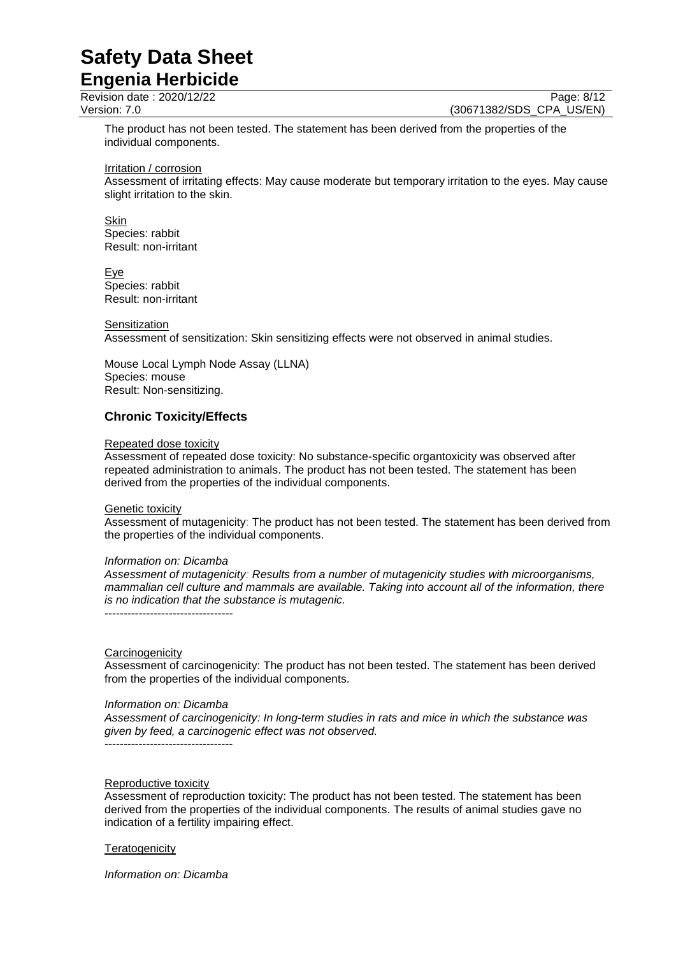**Engenia Herbicide**

Revision date : 2020/12/22 Page: 8/12<br>
Version: 7.0 (30671382/SDS CPA US/EN) (30671382/SDS CPA US/EN)

The product has not been tested. The statement has been derived from the properties of the individual components.

Irritation / corrosion

Assessment of irritating effects: May cause moderate but temporary irritation to the eyes. May cause slight irritation to the skin.

Skin Species: rabbit Result: non-irritant

Eye Species: rabbit Result: non-irritant

#### **Sensitization**

Assessment of sensitization: Skin sensitizing effects were not observed in animal studies.

Mouse Local Lymph Node Assay (LLNA) Species: mouse Result: Non-sensitizing.

#### **Chronic Toxicity/Effects**

#### Repeated dose toxicity

Assessment of repeated dose toxicity: No substance-specific organtoxicity was observed after repeated administration to animals. The product has not been tested. The statement has been derived from the properties of the individual components.

#### Genetic toxicity

Assessment of mutagenicity: The product has not been tested. The statement has been derived from the properties of the individual components.

#### *Information on: Dicamba*

*Assessment of mutagenicity: Results from a number of mutagenicity studies with microorganisms, mammalian cell culture and mammals are available. Taking into account all of the information, there is no indication that the substance is mutagenic.*

----------------------------------

#### **Carcinogenicity**

Assessment of carcinogenicity: The product has not been tested. The statement has been derived from the properties of the individual components.

#### *Information on: Dicamba*

*Assessment of carcinogenicity: In long-term studies in rats and mice in which the substance was given by feed, a carcinogenic effect was not observed.* ----------------------------------

Reproductive toxicity

Assessment of reproduction toxicity: The product has not been tested. The statement has been derived from the properties of the individual components. The results of animal studies gave no indication of a fertility impairing effect.

#### **Teratogenicity**

*Information on: Dicamba*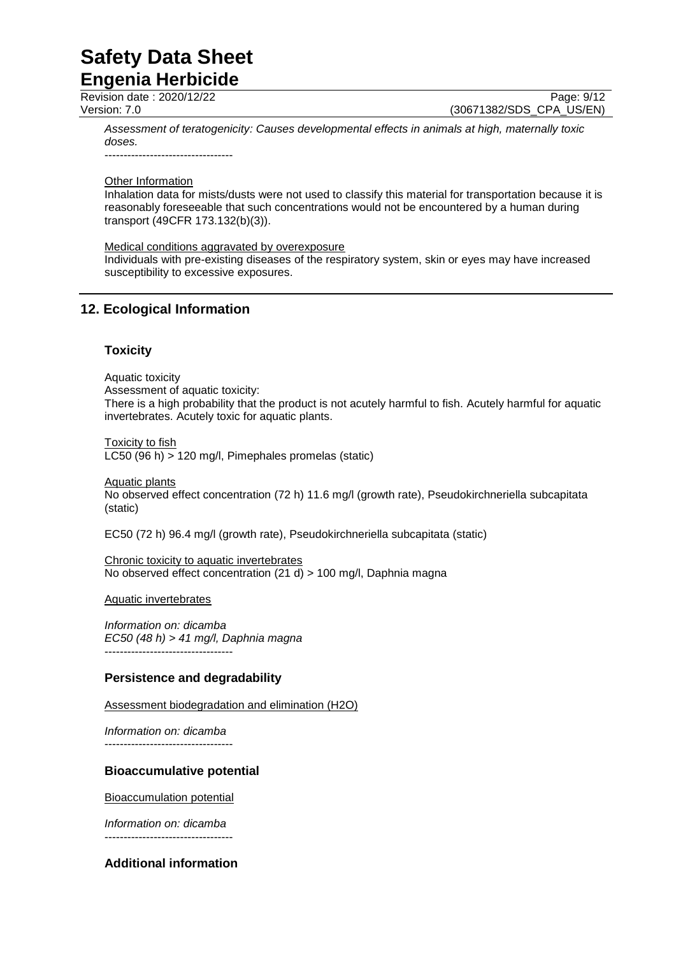### **Safety Data Sheet Engenia Herbicide**

Revision date : 2020/12/22 Page: 9/12<br>
Version: 7.0 (30671382/SDS CPA US/EN) (30671382/SDS CPA US/EN)

*Assessment of teratogenicity: Causes developmental effects in animals at high, maternally toxic doses.*

----------------------------------

#### Other Information

Inhalation data for mists/dusts were not used to classify this material for transportation because it is reasonably foreseeable that such concentrations would not be encountered by a human during transport (49CFR 173.132(b)(3)).

Medical conditions aggravated by overexposure

Individuals with pre-existing diseases of the respiratory system, skin or eyes may have increased susceptibility to excessive exposures.

#### **12. Ecological Information**

#### **Toxicity**

Aquatic toxicity

Assessment of aquatic toxicity: There is a high probability that the product is not acutely harmful to fish. Acutely harmful for aquatic invertebrates. Acutely toxic for aquatic plants.

Toxicity to fish LC50 (96 h) > 120 mg/l, Pimephales promelas (static)

Aquatic plants No observed effect concentration (72 h) 11.6 mg/l (growth rate), Pseudokirchneriella subcapitata (static)

EC50 (72 h) 96.4 mg/l (growth rate), Pseudokirchneriella subcapitata (static)

Chronic toxicity to aquatic invertebrates No observed effect concentration (21 d) > 100 mg/l, Daphnia magna

Aquatic invertebrates

*Information on: dicamba EC50 (48 h) > 41 mg/l, Daphnia magna* ----------------------------------

#### **Persistence and degradability**

Assessment biodegradation and elimination (H2O)

*Information on: dicamba* ----------------------------------

#### **Bioaccumulative potential**

Bioaccumulation potential

*Information on: dicamba* ----------------------------------

**Additional information**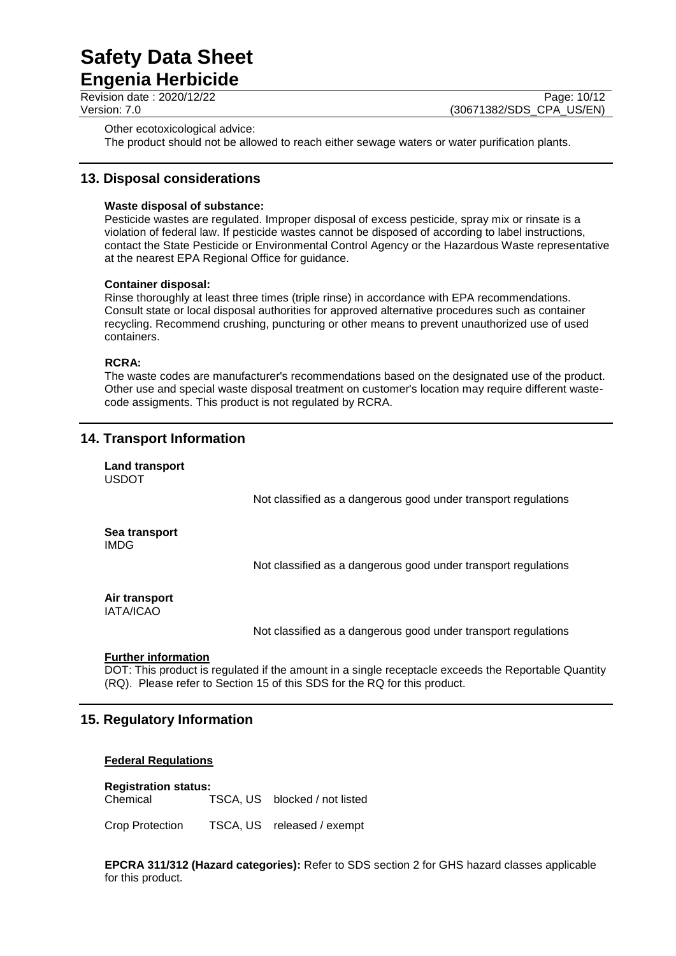**Engenia Herbicide**

Revision date : 2020/12/22 Page: 10/12<br>Version: 7.0 (30671382/SDS CPA US/EN) (30671382/SDS CPA US/EN)

Other ecotoxicological advice:

The product should not be allowed to reach either sewage waters or water purification plants.

#### **13. Disposal considerations**

#### **Waste disposal of substance:**

Pesticide wastes are regulated. Improper disposal of excess pesticide, spray mix or rinsate is a violation of federal law. If pesticide wastes cannot be disposed of according to label instructions, contact the State Pesticide or Environmental Control Agency or the Hazardous Waste representative at the nearest EPA Regional Office for guidance.

#### **Container disposal:**

Rinse thoroughly at least three times (triple rinse) in accordance with EPA recommendations. Consult state or local disposal authorities for approved alternative procedures such as container recycling. Recommend crushing, puncturing or other means to prevent unauthorized use of used containers.

#### **RCRA:**

The waste codes are manufacturer's recommendations based on the designated use of the product. Other use and special waste disposal treatment on customer's location may require different wastecode assigments. This product is not regulated by RCRA.

#### **14. Transport Information**

**Land transport** USDOT

Not classified as a dangerous good under transport regulations

**Sea transport** IMDG

Not classified as a dangerous good under transport regulations

#### **Air transport** IATA/ICAO

Not classified as a dangerous good under transport regulations

#### **Further information**

DOT: This product is regulated if the amount in a single receptacle exceeds the Reportable Quantity (RQ). Please refer to Section 15 of this SDS for the RQ for this product.

#### **15. Regulatory Information**

#### **Federal Regulations**

**Registration status:** Chemical TSCA, US blocked / not listed

Crop Protection TSCA, US released / exempt

**EPCRA 311/312 (Hazard categories):** Refer to SDS section 2 for GHS hazard classes applicable for this product.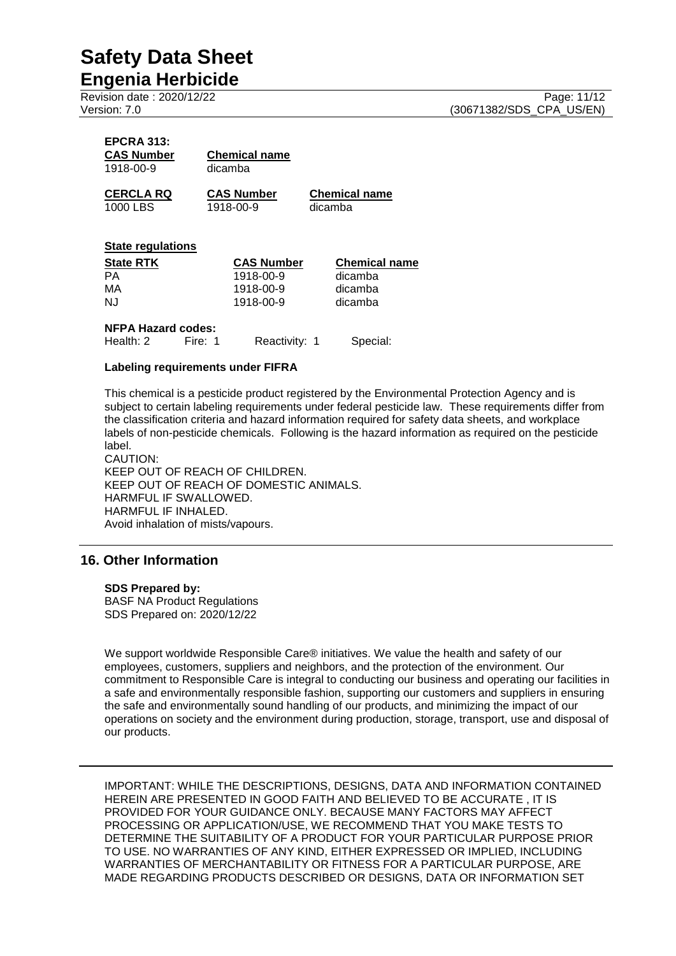**Engenia Herbicide** Revision date : 2020/12/22 Page: 11/12<br>Version: 7.0 (30671382/SDS CPA US/EN)

| <b>EPCRA 313:</b><br><b>CAS Number</b><br>1918-00-9 | <b>Chemical name</b><br>dicamba |                      |
|-----------------------------------------------------|---------------------------------|----------------------|
| <b>CERCLA RQ</b>                                    | <b>CAS Number</b>               | <b>Chemical name</b> |
| 1000 LBS                                            | 1918-00-9                       | dicamba              |

#### **State regulations**

| <b>State RTK</b> | <b>CAS Number</b> | <b>Chemical name</b> |
|------------------|-------------------|----------------------|
| PА               | 1918-00-9         | dicamba              |
| MA               | 1918-00-9         | dicamba              |
| NJ.              | 1918-00-9         | dicamba              |

#### **NFPA Hazard codes:**

| Health: 2 | Fire: 1 | Reactivity: 1 | Special: |
|-----------|---------|---------------|----------|
|-----------|---------|---------------|----------|

#### **Labeling requirements under FIFRA**

This chemical is a pesticide product registered by the Environmental Protection Agency and is subject to certain labeling requirements under federal pesticide law. These requirements differ from the classification criteria and hazard information required for safety data sheets, and workplace labels of non-pesticide chemicals. Following is the hazard information as required on the pesticide label.

CAUTION: KEEP OUT OF REACH OF CHILDREN. KEEP OUT OF REACH OF DOMESTIC ANIMALS. HARMFUL IF SWALLOWED. HARMFUL IF INHALED. Avoid inhalation of mists/vapours.

#### **16. Other Information**

#### **SDS Prepared by:**

BASF NA Product Regulations SDS Prepared on: 2020/12/22

We support worldwide Responsible Care® initiatives. We value the health and safety of our employees, customers, suppliers and neighbors, and the protection of the environment. Our commitment to Responsible Care is integral to conducting our business and operating our facilities in a safe and environmentally responsible fashion, supporting our customers and suppliers in ensuring the safe and environmentally sound handling of our products, and minimizing the impact of our operations on society and the environment during production, storage, transport, use and disposal of our products.

IMPORTANT: WHILE THE DESCRIPTIONS, DESIGNS, DATA AND INFORMATION CONTAINED HEREIN ARE PRESENTED IN GOOD FAITH AND BELIEVED TO BE ACCURATE , IT IS PROVIDED FOR YOUR GUIDANCE ONLY. BECAUSE MANY FACTORS MAY AFFECT PROCESSING OR APPLICATION/USE, WE RECOMMEND THAT YOU MAKE TESTS TO DETERMINE THE SUITABILITY OF A PRODUCT FOR YOUR PARTICULAR PURPOSE PRIOR TO USE. NO WARRANTIES OF ANY KIND, EITHER EXPRESSED OR IMPLIED, INCLUDING WARRANTIES OF MERCHANTABILITY OR FITNESS FOR A PARTICULAR PURPOSE, ARE MADE REGARDING PRODUCTS DESCRIBED OR DESIGNS, DATA OR INFORMATION SET